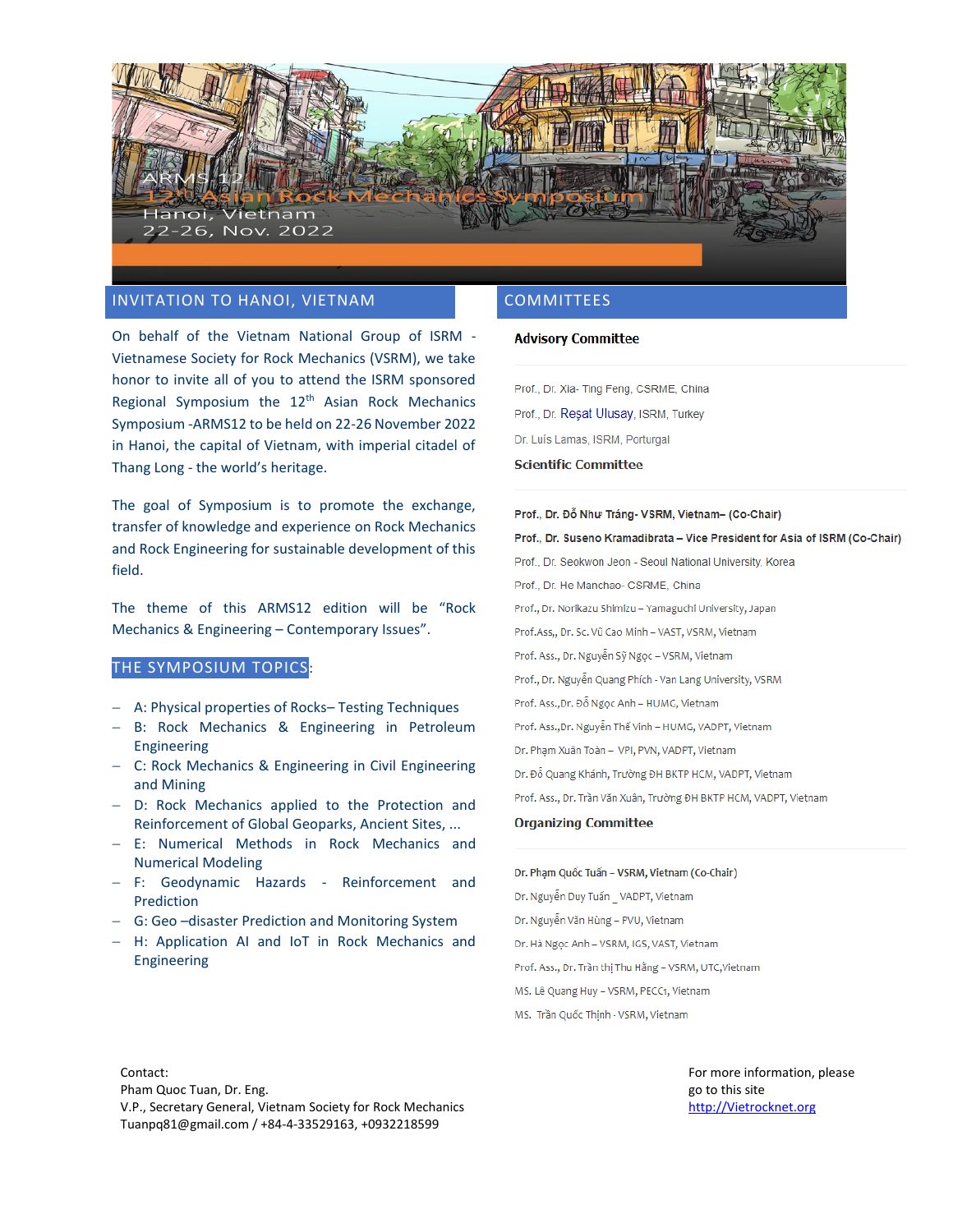

# INVITATION TO HANOI, VIETNAM

On behalf of the Vietnam National Group of ISRM - Vietnamese Society for Rock Mechanics (VSRM), we take honor to invite all of you to attend the ISRM sponsored Regional Symposium the 12<sup>th</sup> Asian Rock Mechanics Symposium -ARMS12 to be held on 22-26 November 2022 in Hanoi, the capital of Vietnam, with imperial citadel of Thang Long - the world's heritage.

The goal of Symposium is to promote the exchange, transfer of knowledge and experience on Rock Mechanics and Rock Engineering for sustainable development of this field.

The theme of this ARMS12 edition will be "Rock Mechanics & Engineering – Contemporary Issues".

### THE SYMPOSIUM TOPICS:

- − A: Physical properties of Rocks– Testing Techniques
- − B: Rock Mechanics & Engineering in Petroleum Engineering
- − C: Rock Mechanics & Engineering in Civil Engineering and Mining
- − D: Rock Mechanics applied to the Protection and Reinforcement of Global Geoparks, Ancient Sites, ...
- − E: Numerical Methods in Rock Mechanics and Numerical Modeling
- − F: Geodynamic Hazards Reinforcement and Prediction
- − G: Geo –disaster Prediction and Monitoring System
- − H: Application AI and IoT in Rock Mechanics and Engineering

### COMMITTEES

#### **Advisory Committee**

Prof., Dr. Xia- Ting Feng, CSRME, China Prof., Dr. Reşat Ulusay, ISRM, Turkey Dr. Luís Lamas, ISRM, Porturgal

### **Scientific Committee**

Prof., Dr. Đỗ Như Tráng- VSRM, Vietnam- (Co-Chair) Prof., Dr. Suseno Kramadibrata - Vice President for Asia of ISRM (Co-Chair) Prof., Dr. Seokwon Jeon - Seoul National University, Korea Prof., Dr. He Manchao- CSRME, China Prof., Dr. Norikazu Shimizu - Yamaguchi University, Japan Prof.Ass,, Dr. Sc. Vũ Cao Minh - VAST, VSRM, Vietnam Prof. Ass., Dr. Nguyễn Sỹ Ngọc - VSRM, Vietnam Prof., Dr. Nguyễn Quang Phích - Van Lang University, VSRM Prof. Ass., Dr. Đỗ Ngọc Anh - HUMG, Vietnam Prof. Ass., Dr. Nguyễn Thế Vinh - HUMG, VADPT, Vietnam Dr. Phạm Xuân Toàn - VPI, PVN, VADPT, Vietnam Dr. Đỗ Quang Khánh, Trường ĐH BKTP HCM, VADPT, Vietnam Prof. Ass., Dr. Trần Văn Xuân, Trường ĐH BKTP HCM, VADPT, Vietnam **Organizing Committee** 

Dr. Phạm Quốc Tuấn - VSRM, Vietnam (Co-Chair) Dr. Nguyễn Duy Tuấn \_ VADPT, Vietnam Dr. Nguyễn Văn Hùng - PVU, Vietnam Dr. Hà Ngọc Anh - VSRM, IGS, VAST, Vietnam Prof. Ass., Dr. Trần thị Thu Hằng - VSRM, UTC, Vietnam MS. Lê Quang Huy - VSRM, PECC1, Vietnam MS. Trần Quốc Thịnh - VSRM, Vietnam

Contact: Pham Quoc Tuan, Dr. Eng. V.P., Secretary General, Vietnam Society for Rock Mechanics Tuanpq81@gmail.com / +84-4-33529163, +0932218599

For more information, please go to this site [http://Vietrocknet.org](http://vietrocknet.org/)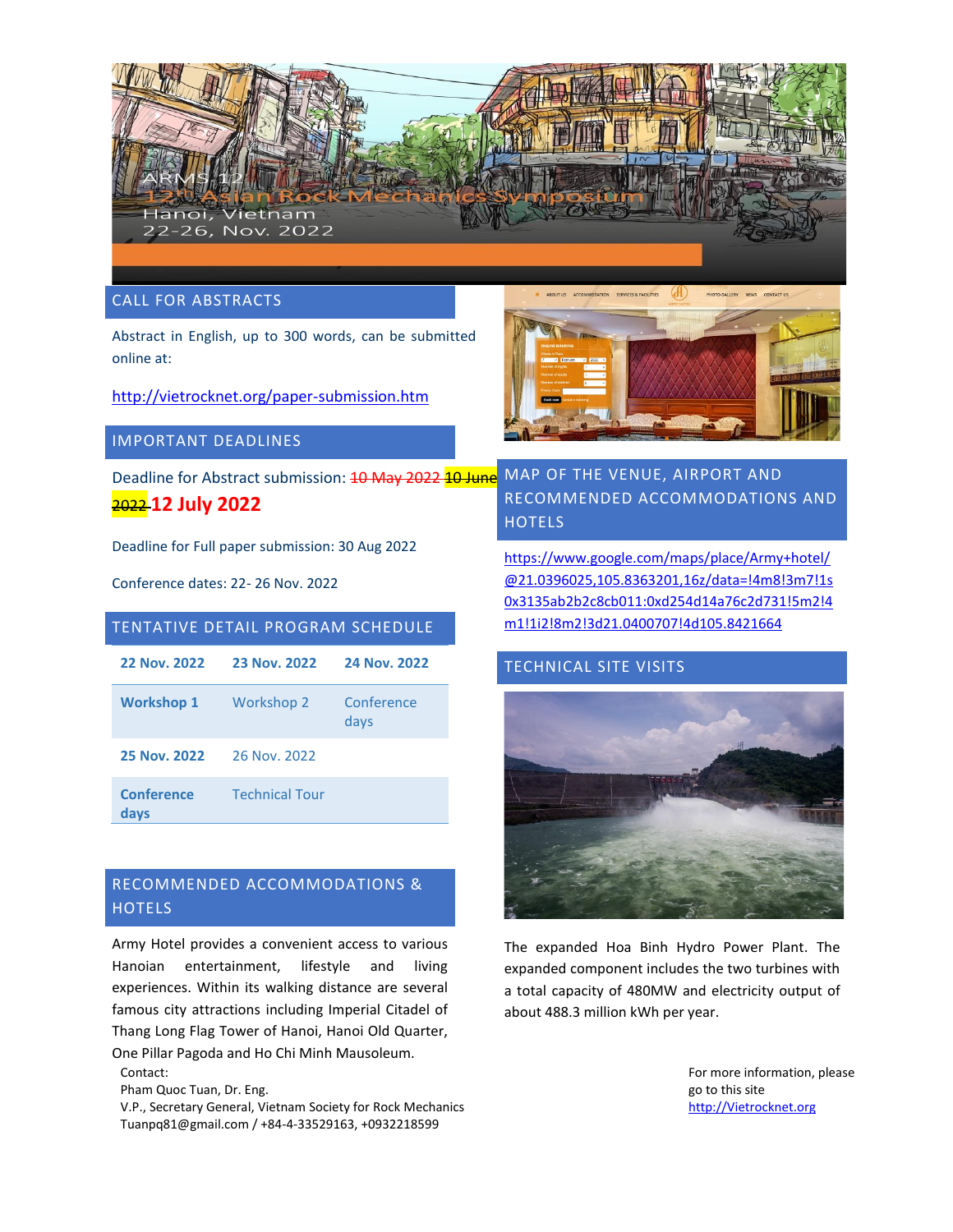

CALL FOR ABSTRACTS

Abstract in English, up to 300 words, can be submitted online at:

<http://vietrocknet.org/paper-submission.htm>

# IMPORTANT DEADLINES

Deadline for Abstract submission: 10 May 2022 10 June 2022 **12 July 2022**

Deadline for Full paper submission: 30 Aug 2022

Conference dates: 22- 26 Nov. 2022

# TENTATIVE DETAIL PROGRAM SCHEDULE

| <b>22 Nov. 2022</b>       | 23 Nov. 2022          | 24 Nov. 2022       |
|---------------------------|-----------------------|--------------------|
| <b>Workshop 1</b>         | Workshop 2            | Conference<br>days |
| 25 Nov. 2022              | 26 Nov. 2022          |                    |
| <b>Conference</b><br>days | <b>Technical Tour</b> |                    |

# RECOMMENDED ACCOMMODATIONS & **HOTELS**

Army Hotel provides a convenient access to various Hanoian entertainment, lifestyle and living experiences. Within its walking distance are several famous city attractions including Imperial Citadel of Thang Long Flag Tower of Hanoi, Hanoi Old Quarter,

Contact: One Pillar Pagoda and Ho Chi Minh Mausoleum.

Pham Quoc Tuan, Dr. Eng.

V.P., Secretary General, Vietnam Society for Rock Mechanics Tuanpq81@gmail.com / +84-4-33529163, +0932218599



MAP OF THE VENUE, AIRPORT AND RECOMMENDED ACCOMMODATIONS AND **HOTELS** 

[https://www.google.com/maps/place/Army+hotel/](https://www.google.com/maps/place/Army+hotel/@21.0396025,105.8363201,16z/data=!4m8!3m7!1s0x3135ab2b2c8cb011:0xd254d14a76c2d731!5m2!4m1!1i2!8m2!3d21.0400707!4d105.8421664) [@21.0396025,105.8363201,16z/data=!4m8!3m7!1s](https://www.google.com/maps/place/Army+hotel/@21.0396025,105.8363201,16z/data=!4m8!3m7!1s0x3135ab2b2c8cb011:0xd254d14a76c2d731!5m2!4m1!1i2!8m2!3d21.0400707!4d105.8421664) [0x3135ab2b2c8cb011:0xd254d14a76c2d731!5m2!4](https://www.google.com/maps/place/Army+hotel/@21.0396025,105.8363201,16z/data=!4m8!3m7!1s0x3135ab2b2c8cb011:0xd254d14a76c2d731!5m2!4m1!1i2!8m2!3d21.0400707!4d105.8421664) [m1!1i2!8m2!3d21.0400707!4d105.8421664](https://www.google.com/maps/place/Army+hotel/@21.0396025,105.8363201,16z/data=!4m8!3m7!1s0x3135ab2b2c8cb011:0xd254d14a76c2d731!5m2!4m1!1i2!8m2!3d21.0400707!4d105.8421664)

# TECHNICAL SITE VISITS



The expanded Hoa Binh Hydro Power Plant. The expanded component includes the two turbines with a total capacity of 480MW and electricity output of about 488.3 million kWh per year.

> For more information, please go to this site [http://Vietrocknet.org](http://vietrocknet.org/)